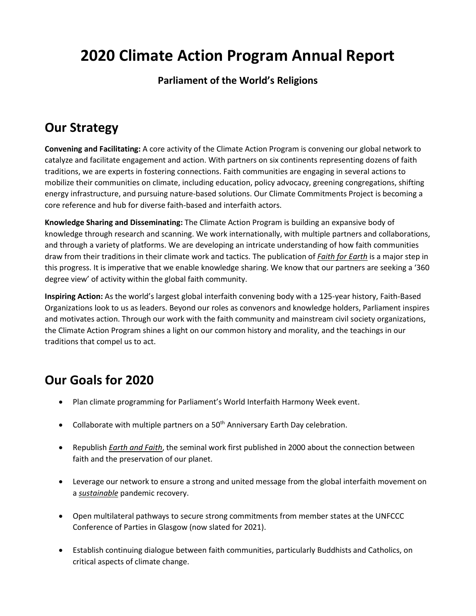# **2020 Climate Action Program Annual Report**

### **Parliament of the World's Religions**

# **Our Strategy**

**Convening and Facilitating:** A core activity of the Climate Action Program is convening our global network to catalyze and facilitate engagement and action. With partners on six continents representing dozens of faith traditions, we are experts in fostering connections. Faith communities are engaging in several actions to mobilize their communities on climate, including education, policy advocacy, greening congregations, shifting energy infrastructure, and pursuing nature-based solutions. Our Climate Commitments Project is becoming a core reference and hub for diverse faith-based and interfaith actors.

**Knowledge Sharing and Disseminating:** The Climate Action Program is building an expansive body of knowledge through research and scanning. We work internationally, with multiple partners and collaborations, and through a variety of platforms. We are developing an intricate understanding of how faith communities draw from their traditions in their climate work and tactics. The publication of *Faith for Earth* is a major step in this progress. It is imperative that we enable knowledge sharing. We know that our partners are seeking a '360 degree view' of activity within the global faith community.

**Inspiring Action:** As the world's largest global interfaith convening body with a 125-year history, Faith-Based Organizations look to us as leaders. Beyond our roles as convenors and knowledge holders, Parliament inspires and motivates action. Through our work with the faith community and mainstream civil society organizations, the Climate Action Program shines a light on our common history and morality, and the teachings in our traditions that compel us to act.

# **Our Goals for 2020**

- Plan climate programming for Parliament's World Interfaith Harmony Week event.
- Collaborate with multiple partners on a  $50<sup>th</sup>$  Anniversary Earth Day celebration.
- Republish *Earth and Faith*, the seminal work first published in 2000 about the connection between faith and the preservation of our planet.
- Leverage our network to ensure a strong and united message from the global interfaith movement on a *sustainable* pandemic recovery.
- Open multilateral pathways to secure strong commitments from member states at the UNFCCC Conference of Parties in Glasgow (now slated for 2021).
- Establish continuing dialogue between faith communities, particularly Buddhists and Catholics, on critical aspects of climate change.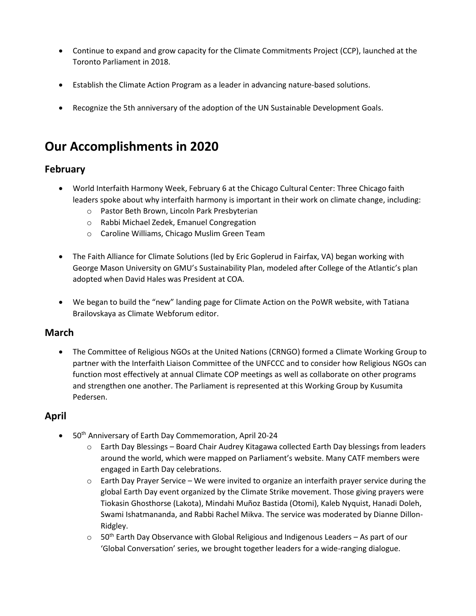- Continue to expand and grow capacity for the Climate Commitments Project (CCP), launched at the Toronto Parliament in 2018.
- Establish the Climate Action Program as a leader in advancing nature-based solutions.
- Recognize the 5th anniversary of the adoption of the UN Sustainable Development Goals.

## **Our Accomplishments in 2020**

#### **February**

- World Interfaith Harmony Week, February 6 at the Chicago Cultural Center: Three Chicago faith leaders spoke about why interfaith harmony is important in their work on climate change, including:
	- o Pastor Beth Brown, Lincoln Park Presbyterian
	- o Rabbi Michael Zedek, Emanuel Congregation
	- o Caroline Williams, Chicago Muslim Green Team
- The Faith Alliance for Climate Solutions (led by Eric Goplerud in Fairfax, VA) began working with George Mason University on GMU's Sustainability Plan, modeled after College of the Atlantic's plan adopted when David Hales was President at COA.
- We began to build the "new" landing page for Climate Action on the PoWR website, with Tatiana Brailovskaya as Climate Webforum editor.

#### **March**

• The Committee of Religious NGOs at the United Nations (CRNGO) formed a Climate Working Group to partner with the Interfaith Liaison Committee of the UNFCCC and to consider how Religious NGOs can function most effectively at annual Climate COP meetings as well as collaborate on other programs and strengthen one another. The Parliament is represented at this Working Group by Kusumita Pedersen.

#### **April**

- 50<sup>th</sup> Anniversary of Earth Day Commemoration, April 20-24
	- o Earth Day Blessings Board Chair Audrey Kitagawa collected Earth Day blessings from leaders around the world, which were mapped on Parliament's website. Many CATF members were engaged in Earth Day celebrations.
	- o Earth Day Prayer Service We were invited to organize an interfaith prayer service during the global Earth Day event organized by the Climate Strike movement. Those giving prayers were Tiokasin Ghosthorse (Lakota), Mindahi Muñoz Bastida (Otomi), Kaleb Nyquist, Hanadi Doleh, Swami Ishatmananda, and Rabbi Rachel Mikva. The service was moderated by Dianne Dillon-Ridgley.
	- $\circ$  50<sup>th</sup> Earth Day Observance with Global Religious and Indigenous Leaders As part of our 'Global Conversation' series, we brought together leaders for a wide-ranging dialogue.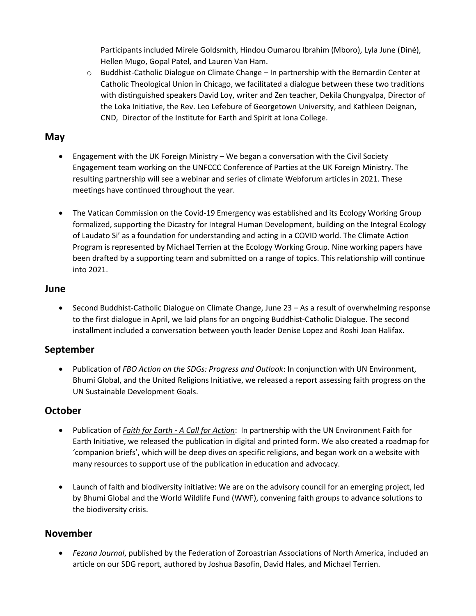Participants included Mirele Goldsmith, Hindou Oumarou Ibrahim (Mboro), Lyla June (Diné), Hellen Mugo, Gopal Patel, and Lauren Van Ham.

o Buddhist-Catholic Dialogue on Climate Change – In partnership with the Bernardin Center at Catholic Theological Union in Chicago, we facilitated a dialogue between these two traditions with distinguished speakers David Loy, writer and Zen teacher, Dekila Chungyalpa, Director of the Loka Initiative, the Rev. Leo Lefebure of Georgetown University, and Kathleen Deignan, CND, Director of the Institute for Earth and Spirit at Iona College.

### **May**

- Engagement with the UK Foreign Ministry We began a conversation with the Civil Society Engagement team working on the UNFCCC Conference of Parties at the UK Foreign Ministry. The resulting partnership will see a webinar and series of climate Webforum articles in 2021. These meetings have continued throughout the year.
- The Vatican Commission on the Covid-19 Emergency was established and its Ecology Working Group formalized, supporting the Dicastry for Integral Human Development, building on the Integral Ecology of Laudato Si' as a foundation for understanding and acting in a COVID world. The Climate Action Program is represented by Michael Terrien at the Ecology Working Group. Nine working papers have been drafted by a supporting team and submitted on a range of topics. This relationship will continue into 2021.

#### **June**

• Second Buddhist-Catholic Dialogue on Climate Change, June 23 – As a result of overwhelming response to the first dialogue in April, we laid plans for an ongoing Buddhist-Catholic Dialogue. The second installment included a conversation between youth leader Denise Lopez and Roshi Joan Halifax.

### **September**

• Publication of *FBO Action on the SDGs: Progress and Outlook*: In conjunction with UN Environment, Bhumi Global, and the United Religions Initiative, we released a report assessing faith progress on the UN Sustainable Development Goals.

### **October**

- Publication of *Faith for Earth - A Call for Action*: In partnership with the UN Environment Faith for Earth Initiative, we released the publication in digital and printed form. We also created a roadmap for 'companion briefs', which will be deep dives on specific religions, and began work on a website with many resources to support use of the publication in education and advocacy.
- Launch of faith and biodiversity initiative: We are on the advisory council for an emerging project, led by Bhumi Global and the World Wildlife Fund (WWF), convening faith groups to advance solutions to the biodiversity crisis.

### **November**

• *Fezana Journal*, published by the Federation of Zoroastrian Associations of North America, included an article on our SDG report, authored by Joshua Basofin, David Hales, and Michael Terrien.